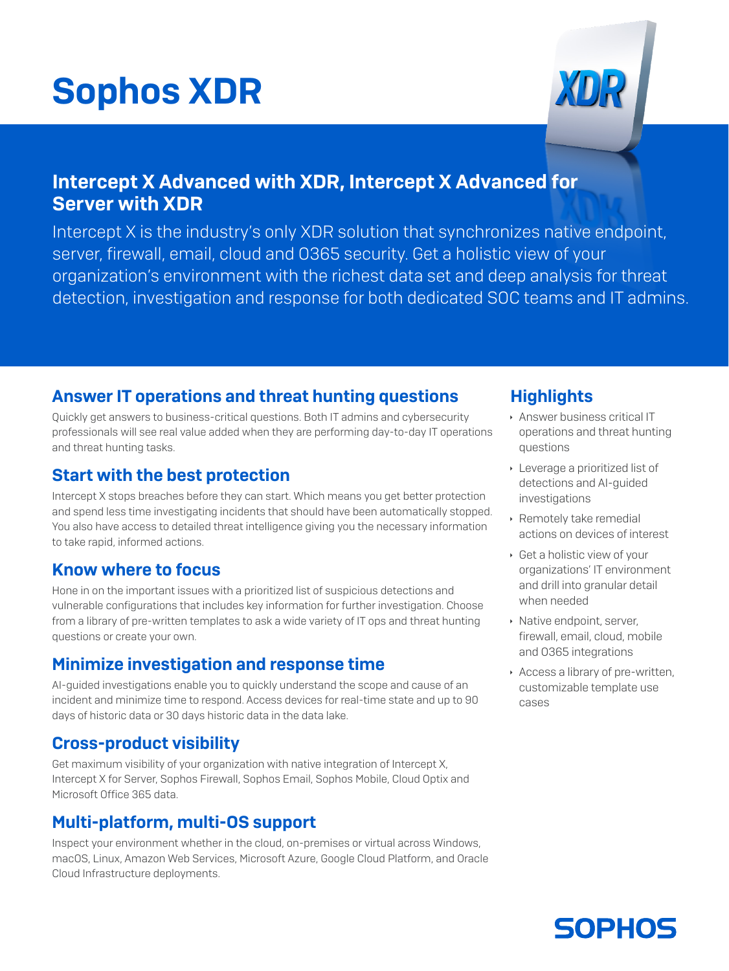# Sophos XDR



## Intercept X Advanced with XDR, Intercept X Advanced for Server with XDR

Intercept X is the industry's only XDR solution that synchronizes native endpoint, server, firewall, email, cloud and O365 security. Get a holistic view of your organization's environment with the richest data set and deep analysis for threat detection, investigation and response for both dedicated SOC teams and IT admins.

#### Answer IT operations and threat hunting questions

Quickly get answers to business-critical questions. Both IT admins and cybersecurity professionals will see real value added when they are performing day-to-day IT operations and threat hunting tasks.

#### Start with the best protection

Intercept X stops breaches before they can start. Which means you get better protection and spend less time investigating incidents that should have been automatically stopped. You also have access to detailed threat intelligence giving you the necessary information to take rapid, informed actions.

#### Know where to focus

Hone in on the important issues with a prioritized list of suspicious detections and vulnerable configurations that includes key information for further investigation. Choose from a library of pre-written templates to ask a wide variety of IT ops and threat hunting questions or create your own.

#### Minimize investigation and response time

AI-guided investigations enable you to quickly understand the scope and cause of an incident and minimize time to respond. Access devices for real-time state and up to 90 days of historic data or 30 days historic data in the data lake.

#### Cross-product visibility

Get maximum visibility of your organization with native integration of Intercept X, Intercept X for Server, Sophos Firewall, Sophos Email, Sophos Mobile, Cloud Optix and Microsoft Office 365 data.

#### Multi-platform, multi-OS support

Inspect your environment whether in the cloud, on-premises or virtual across Windows, macOS, Linux, Amazon Web Services, Microsoft Azure, Google Cloud Platform, and Oracle Cloud Infrastructure deployments.

### **Highlights**

- **Answer business critical IT** operations and threat hunting questions
- **Leverage a prioritized list of** detections and AI-guided investigations
- **EXECUTE: Remotely take remedial** actions on devices of interest
- $\cdot$  Get a holistic view of your organizations' IT environment and drill into granular detail when needed
- **Native endpoint, server,** firewall, email, cloud, mobile and O365 integrations
- $\rightarrow$  Access a library of pre-written, customizable template use cases